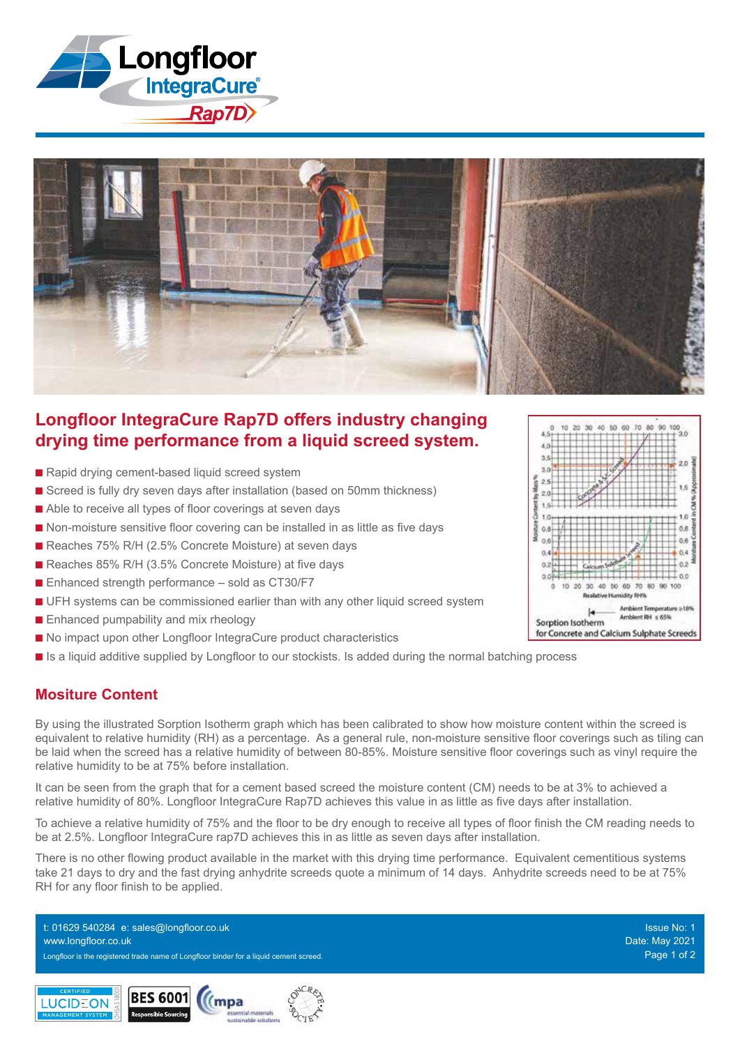



# **Longfloor IntegraCure Rap7D offers industry changing drying time performance from a liquid screed system.**

- Rapid drying cement-based liquid screed system
- Screed is fully dry seven days after installation (based on 50mm thickness)
- Able to receive all types of floor coverings at seven days
- Non-moisture sensitive floor covering can be installed in as little as five days
- Reaches 75% R/H (2.5% Concrete Moisture) at seven days
- Reaches 85% R/H (3.5% Concrete Moisture) at five days
- $\blacksquare$  Enhanced strength performance sold as CT30/F7
- **n** UFH systems can be commissioned earlier than with any other liquid screed system
- **n** Enhanced pumpability and mix rheology
- No impact upon other Longfloor IntegraCure product characteristics
- **n** Is a liquid additive supplied by Longfloor to our stockists. Is added during the normal batching process

#### **Mositure Content**

By using the illustrated Sorption Isotherm graph which has been calibrated to show how moisture content within the screed is equivalent to relative humidity (RH) as a percentage. As a general rule, non-moisture sensitive floor coverings such as tiling can be laid when the screed has a relative humidity of between 80-85%. Moisture sensitive floor coverings such as vinyl require the relative humidity to be at 75% before installation.

It can be seen from the graph that for a cement based screed the moisture content (CM) needs to be at 3% to achieved a relative humidity of 80%. Longfloor IntegraCure Rap7D achieves this value in as little as five days after installation.

To achieve a relative humidity of 75% and the floor to be dry enough to receive all types of floor finish the CM reading needs to be at 2.5%. Longfloor IntegraCure rap7D achieves this in as little as seven days after installation.

There is no other flowing product available in the market with this drying time performance. Equivalent cementitious systems take 21 days to dry and the fast drying anhydrite screeds quote a minimum of 14 days. Anhydrite screeds need to be at 75% RH for any floor finish to be applied.

Longfloor is the registered trade name of Longfloor binder for a liquid cement screed. Page 1 of 2 t: 01629 540284 e: sales@longfloor.co.uk www.longfloor.co.uk





Issue No: 1 Date: May 2021